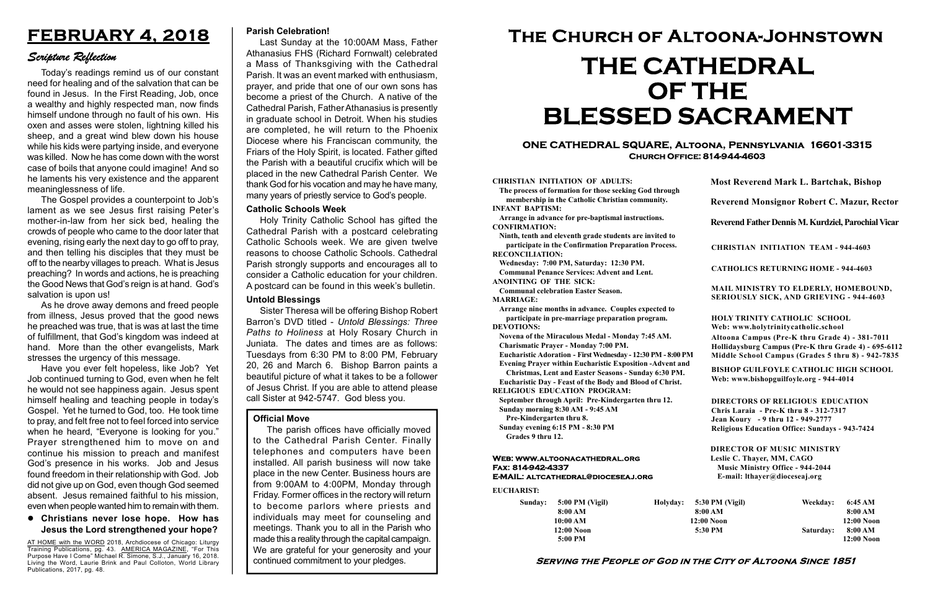#### Serving the People of God in the City of Altoona Since 1851

Sunday: 5:00 PM (Vigil) 8:00 AM 10:00 AM 12:00 Noon 5:00 PM

Holyday:

#### Web: www.altoonacathedral.org Fax: 814-942-4337 E-MAIL: altcathedral@dioceseaj.org

EUCHARIST:

#### CHRISTIAN INITIATION OF ADULTS:

The process of formation for those seeking God through membership in the Catholic Christian community. INFANT BAPTISM:

Arrange in advance for pre-baptismal instructions. CONFIRMATION:

Ninth, tenth and eleventh grade students are invited to participate in the Confirmation Preparation Process. RECONCILIATION:

Wednesday: 7:00 PM, Saturday: 12:30 PM. Communal Penance Services: Advent and Lent.

ANOINTING OF THE SICK:

Communal celebration Easter Season. MARRIAGE:

Arrange nine months in advance. Couples expected to participate in pre-marriage preparation program. DEVOTIONS:

Novena of the Miraculous Medal - Monday 7:45 AM.

Charismatic Prayer - Monday 7:00 PM. Eucharistic Adoration - First Wednesday - 12:30 PM - 8:00 PM

Evening Prayer within Eucharistic Exposition -Advent and

Christmas, Lent and Easter Seasons - Sunday 6:30 PM.

|                       | <b>Most Reverend Mark L. Bartchak, Bishop</b><br>Reverend Monsignor Robert C. Mazur, Rector                                                                                     |           |                         |
|-----------------------|---------------------------------------------------------------------------------------------------------------------------------------------------------------------------------|-----------|-------------------------|
|                       |                                                                                                                                                                                 |           |                         |
|                       | Reverend Father Dennis M. Kurdziel, Parochial Vicar                                                                                                                             |           |                         |
|                       | <b>CHRISTIAN INITIATION TEAM - 944-4603</b>                                                                                                                                     |           |                         |
|                       | <b>CATHOLICS RETURNING HOME - 944-4603</b>                                                                                                                                      |           |                         |
|                       | MAIL MINISTRY TO ELDERLY, HOMEBOUND,<br>SERIOUSLY SICK, AND GRIEVING - 944-4603                                                                                                 |           |                         |
|                       | <b>HOLY TRINITY CATHOLIC SCHOOL</b><br>Web: www.holytrinitycatholic.school                                                                                                      |           |                         |
| М                     | Altoona Campus (Pre-K thru Grade 4) - 381-7011<br>Hollidaysburg Campus (Pre-K thru Grade 4) - 695-6112<br>Middle School Campus (Grades 5 thru 8) - 942-7835                     |           |                         |
| ł                     | <b>BISHOP GUILFOYLE CATHOLIC HIGH SCHOOL</b><br>Web: www.bishopguilfoyle.org - 944-4014                                                                                         |           |                         |
|                       | <b>DIRECTORS OF RELIGIOUS EDUCATION</b><br>Chris Laraia - Pre-K thru 8 - 312-7317<br>Jean Koury - 9 thru 12 - 949-2777<br><b>Religious Education Office: Sundays - 943-7424</b> |           |                         |
|                       | <b>DIRECTOR OF MUSIC MINISTRY</b><br>Leslie C. Thayer, MM, CAGO<br><b>Music Ministry Office - 944-2044</b><br>E-mail: lthayer@dioceseaj.org                                     |           |                         |
| 5:30 PM (Vigil)       |                                                                                                                                                                                 | Weekday:  | 6:45 AM                 |
| 8:00 AM<br>12:00 Noon |                                                                                                                                                                                 |           | 8:00 AM<br>12:00 Noon   |
| 5:30 PM               |                                                                                                                                                                                 | Saturday: | 8:00 AM<br>$12:00$ Noon |
|                       |                                                                                                                                                                                 |           |                         |

Eucharistic Day - Feast of the Body and Blood of Christ.

RELIGIOUS EDUCATION PROGRAM:

September through April: Pre-Kindergarten thru 12. Sunday morning 8:30 AM - 9:45 AM

Pre-Kindergarten thru 8.

Sunday evening 6:15 PM - 8:30 PM Grades 9 thru 12.

#### ONE CATHEDRAL SQUARE, Altoona, Pennsylvania 16601-3315 Church Office: 814-944-4603

# The Church of Altoona-Johnstown THE CATHEDRAL OF THE BLESSED SACRAMENT

#### Official Move

AT HOME with the WORD 2018, Archdiocese of Chicago: Liturgy Training Publications, pg. 43. AMERICA MAGAZINE, "For This Purpose Have I Come" Michael R. Simone, S.J., January 16, 2018. Living the Word, Laurie Brink and Paul Colloton, World Library Publications, 2017, pg. 48.

The parish offices have officially moved to the Cathedral Parish Center. Finally telephones and computers have been installed. All parish business will now take place in the new Center. Business hours are from 9:00AM to 4:00PM, Monday through Friday. Former offices in the rectory will return to become parlors where priests and individuals may meet for counseling and meetings. Thank you to all in the Parish who made this a reality through the capital campaign. We are grateful for your generosity and your continued commitment to your pledges.

## FEBRUARY 4, 2018

### Scripture Reflection

#### Christians never lose hope. How has Jesus the Lord strengthened your hope?

Today's readings remind us of our constant need for healing and of the salvation that can be found in Jesus. In the First Reading, Job, once a wealthy and highly respected man, now finds himself undone through no fault of his own. His oxen and asses were stolen, lightning killed his sheep, and a great wind blew down his house while his kids were partying inside, and everyone was killed. Now he has come down with the worst case of boils that anyone could imagine! And so he laments his very existence and the apparent meaninglessness of life.

The Gospel provides a counterpoint to Job's lament as we see Jesus first raising Peter's mother-in-law from her sick bed, healing the crowds of people who came to the door later that evening, rising early the next day to go off to pray, and then telling his disciples that they must be off to the nearby villages to preach. What is Jesus preaching? In words and actions, he is preaching the Good News that God's reign is at hand. God's salvation is upon us!

As he drove away demons and freed people from illness, Jesus proved that the good news he preached was true, that is was at last the time of fulfillment, that God's kingdom was indeed at hand. More than the other evangelists, Mark stresses the urgency of this message.

Have you ever felt hopeless, like Job? Yet Job continued turning to God, even when he felt he would not see happiness again. Jesus spent himself healing and teaching people in today's Gospel. Yet he turned to God, too. He took time to pray, and felt free not to feel forced into service when he heard, "Everyone is looking for you." Prayer strengthened him to move on and continue his mission to preach and manifest God's presence in his works. Job and Jesus found freedom in their relationship with God. Job did not give up on God, even though God seemed absent. Jesus remained faithful to his mission, even when people wanted him to remain with them.

#### Parish Celebration!

Last Sunday at the 10:00AM Mass, Father Athanasius FHS (Richard Fornwalt) celebrated a Mass of Thanksgiving with the Cathedral Parish. It was an event marked with enthusiasm, prayer, and pride that one of our own sons has become a priest of the Church. A native of the Cathedral Parish, Father Athanasius is presently in graduate school in Detroit. When his studies are completed, he will return to the Phoenix Diocese where his Franciscan community, the Friars of the Holy Spirit, is located. Father gifted the Parish with a beautiful crucifix which will be placed in the new Cathedral Parish Center. We thank God for his vocation and may he have many, many years of priestly service to God's people.

#### Catholic Schools Week

Holy Trinity Catholic School has gifted the Cathedral Parish with a postcard celebrating Catholic Schools week. We are given twelve reasons to choose Catholic Schools. Cathedral Parish strongly supports and encourages all to consider a Catholic education for your children. A postcard can be found in this week's bulletin.

#### Untold Blessings

Sister Theresa will be offering Bishop Robert Barron's DVD titled - Untold Blessings: Three Paths to Holiness at Holy Rosary Church in Juniata. The dates and times are as follows: Tuesdays from 6:30 PM to 8:00 PM, February 20, 26 and March 6. Bishop Barron paints a beautiful picture of what it takes to be a follower of Jesus Christ. If you are able to attend please call Sister at 942-5747. God bless you.